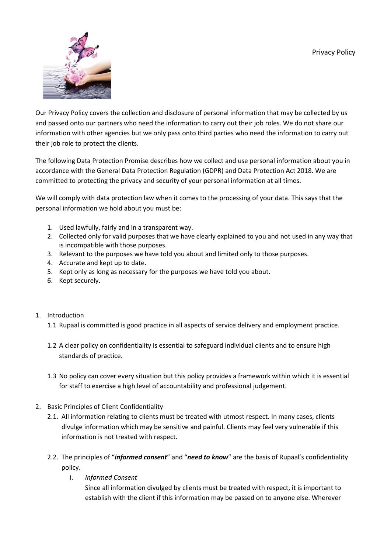

Our Privacy Policy covers the collection and disclosure of personal information that may be collected by us and passed onto our partners who need the information to carry out their job roles. We do not share our information with other agencies but we only pass onto third parties who need the information to carry out their job role to protect the clients.

The following Data Protection Promise describes how we collect and use personal information about you in accordance with the General Data Protection Regulation (GDPR) and Data Protection Act 2018. We are committed to protecting the privacy and security of your personal information at all times.

We will comply with data protection law when it comes to the processing of your data. This says that the personal information we hold about you must be:

- 1. Used lawfully, fairly and in a transparent way.
- 2. Collected only for valid purposes that we have clearly explained to you and not used in any way that is incompatible with those purposes.
- 3. Relevant to the purposes we have told you about and limited only to those purposes.
- 4. Accurate and kept up to date.
- 5. Kept only as long as necessary for the purposes we have told you about.
- 6. Kept securely.

## 1. Introduction

- 1.1 Rupaal is committed is good practice in all aspects of service delivery and employment practice.
- 1.2 A clear policy on confidentiality is essential to safeguard individual clients and to ensure high standards of practice.
- 1.3 No policy can cover every situation but this policy provides a framework within which it is essential for staff to exercise a high level of accountability and professional judgement.
- 2. Basic Principles of Client Confidentiality
	- 2.1. All information relating to clients must be treated with utmost respect. In many cases, clients divulge information which may be sensitive and painful. Clients may feel very vulnerable if this information is not treated with respect.
	- 2.2. The principles of "*informed consent*" and "*need to know*" are the basis of Rupaal's confidentiality policy.
		- i. *Informed Consent*

Since all information divulged by clients must be treated with respect, it is important to establish with the client if this information may be passed on to anyone else. Wherever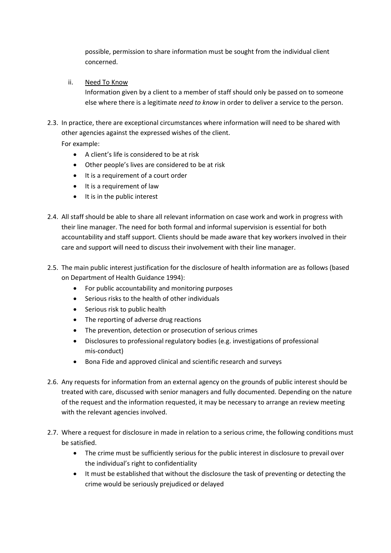possible, permission to share information must be sought from the individual client concerned.

ii. Need To Know

Information given by a client to a member of staff should only be passed on to someone else where there is a legitimate *need to know* in order to deliver a service to the person.

2.3. In practice, there are exceptional circumstances where information will need to be shared with other agencies against the expressed wishes of the client.

For example:

- A client's life is considered to be at risk
- Other people's lives are considered to be at risk
- It is a requirement of a court order
- It is a requirement of law
- It is in the public interest
- 2.4. All staff should be able to share all relevant information on case work and work in progress with their line manager. The need for both formal and informal supervision is essential for both accountability and staff support. Clients should be made aware that key workers involved in their care and support will need to discuss their involvement with their line manager.
- 2.5. The main public interest justification for the disclosure of health information are as follows (based on Department of Health Guidance 1994):
	- For public accountability and monitoring purposes
	- Serious risks to the health of other individuals
	- Serious risk to public health
	- The reporting of adverse drug reactions
	- The prevention, detection or prosecution of serious crimes
	- Disclosures to professional regulatory bodies (e.g. investigations of professional mis-conduct)
	- Bona Fide and approved clinical and scientific research and surveys
- 2.6. Any requests for information from an external agency on the grounds of public interest should be treated with care, discussed with senior managers and fully documented. Depending on the nature of the request and the information requested, it may be necessary to arrange an review meeting with the relevant agencies involved.
- 2.7. Where a request for disclosure in made in relation to a serious crime, the following conditions must be satisfied.
	- The crime must be sufficiently serious for the public interest in disclosure to prevail over the individual's right to confidentiality
	- It must be established that without the disclosure the task of preventing or detecting the crime would be seriously prejudiced or delayed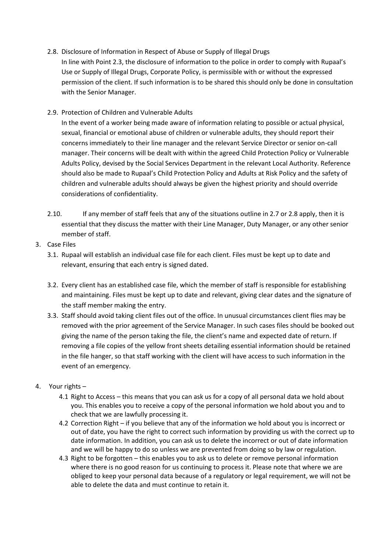- 2.8. Disclosure of Information in Respect of Abuse or Supply of Illegal Drugs In line with Point 2.3, the disclosure of information to the police in order to comply with Rupaal's Use or Supply of Illegal Drugs, Corporate Policy, is permissible with or without the expressed permission of the client. If such information is to be shared this should only be done in consultation with the Senior Manager.
- 2.9. Protection of Children and Vulnerable Adults

In the event of a worker being made aware of information relating to possible or actual physical, sexual, financial or emotional abuse of children or vulnerable adults, they should report their concerns immediately to their line manager and the relevant Service Director or senior on-call manager. Their concerns will be dealt with within the agreed Child Protection Policy or Vulnerable Adults Policy, devised by the Social Services Department in the relevant Local Authority. Reference should also be made to Rupaal's Child Protection Policy and Adults at Risk Policy and the safety of children and vulnerable adults should always be given the highest priority and should override considerations of confidentiality.

- 2.10. If any member of staff feels that any of the situations outline in 2.7 or 2.8 apply, then it is essential that they discuss the matter with their Line Manager, Duty Manager, or any other senior member of staff.
- 3. Case Files
	- 3.1. Rupaal will establish an individual case file for each client. Files must be kept up to date and relevant, ensuring that each entry is signed dated.
	- 3.2. Every client has an established case file, which the member of staff is responsible for establishing and maintaining. Files must be kept up to date and relevant, giving clear dates and the signature of the staff member making the entry.
	- 3.3. Staff should avoid taking client files out of the office. In unusual circumstances client flies may be removed with the prior agreement of the Service Manager. In such cases files should be booked out giving the name of the person taking the file, the client's name and expected date of return. If removing a file copies of the yellow front sheets detailing essential information should be retained in the file hanger, so that staff working with the client will have access to such information in the event of an emergency.
- 4. Your rights
	- 4.1 Right to Access this means that you can ask us for a copy of all personal data we hold about you. This enables you to receive a copy of the personal information we hold about you and to check that we are lawfully processing it.
	- 4.2 Correction Right if you believe that any of the information we hold about you is incorrect or out of date, you have the right to correct such information by providing us with the correct up to date information. In addition, you can ask us to delete the incorrect or out of date information and we will be happy to do so unless we are prevented from doing so by law or regulation.
	- 4.3 Right to be forgotten this enables you to ask us to delete or remove personal information where there is no good reason for us continuing to process it. Please note that where we are obliged to keep your personal data because of a regulatory or legal requirement, we will not be able to delete the data and must continue to retain it.